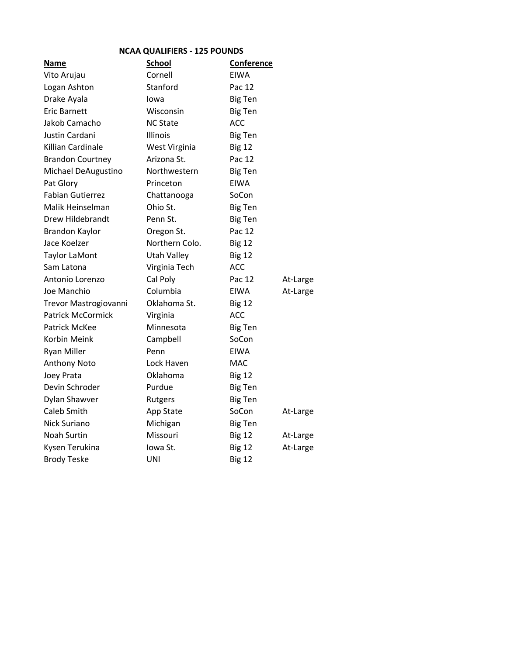| <b>NCAA QUALIFIERS - 125 POUNDS</b> |                    |                   |          |
|-------------------------------------|--------------------|-------------------|----------|
| <b>Name</b>                         | <b>School</b>      | <b>Conference</b> |          |
| Vito Arujau                         | Cornell            | <b>EIWA</b>       |          |
| Logan Ashton                        | Stanford           | Pac 12            |          |
| Drake Ayala                         | Iowa               | <b>Big Ten</b>    |          |
| Eric Barnett                        | Wisconsin          | <b>Big Ten</b>    |          |
| Jakob Camacho                       | <b>NC State</b>    | <b>ACC</b>        |          |
| Justin Cardani                      | <b>Illinois</b>    | <b>Big Ten</b>    |          |
| Killian Cardinale                   | West Virginia      | <b>Big 12</b>     |          |
| <b>Brandon Courtney</b>             | Arizona St.        | Pac 12            |          |
| Michael DeAugustino                 | Northwestern       | <b>Big Ten</b>    |          |
| Pat Glory                           | Princeton          | EIWA              |          |
| <b>Fabian Gutierrez</b>             | Chattanooga        | SoCon             |          |
| Malik Heinselman                    | Ohio St.           | <b>Big Ten</b>    |          |
| Drew Hildebrandt                    | Penn St.           | <b>Big Ten</b>    |          |
| <b>Brandon Kaylor</b>               | Oregon St.         | Pac 12            |          |
| Jace Koelzer                        | Northern Colo.     | <b>Big 12</b>     |          |
| <b>Taylor LaMont</b>                | <b>Utah Valley</b> | <b>Big 12</b>     |          |
| Sam Latona                          | Virginia Tech      | <b>ACC</b>        |          |
| Antonio Lorenzo                     | Cal Poly           | Pac 12            | At-Large |
| Joe Manchio                         | Columbia           | <b>EIWA</b>       | At-Large |
| Trevor Mastrogiovanni               | Oklahoma St.       | <b>Big 12</b>     |          |
| <b>Patrick McCormick</b>            | Virginia           | <b>ACC</b>        |          |
| <b>Patrick McKee</b>                | Minnesota          | <b>Big Ten</b>    |          |
| Korbin Meink                        | Campbell           | SoCon             |          |
| <b>Ryan Miller</b>                  | Penn               | EIWA              |          |
| Anthony Noto                        | Lock Haven         | <b>MAC</b>        |          |
| Joey Prata                          | Oklahoma           | <b>Big 12</b>     |          |
| Devin Schroder                      | Purdue             | <b>Big Ten</b>    |          |
| Dylan Shawver                       | Rutgers            | <b>Big Ten</b>    |          |
| Caleb Smith                         | App State          | SoCon             | At-Large |
| Nick Suriano                        | Michigan           | <b>Big Ten</b>    |          |
| Noah Surtin                         | Missouri           | <b>Big 12</b>     | At-Large |
| Kysen Terukina                      | Iowa St.           | <b>Big 12</b>     | At-Large |
| <b>Brody Teske</b>                  | UNI                | <b>Big 12</b>     |          |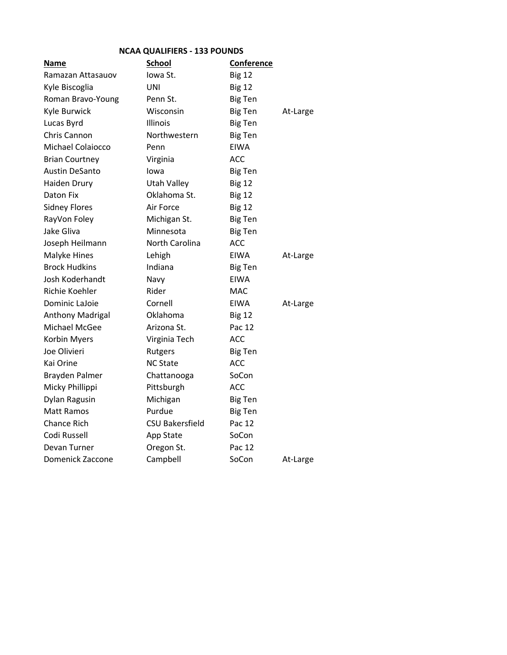| <b>NCAA QUALIFIERS - 133 POUNDS</b> |                        |                   |          |
|-------------------------------------|------------------------|-------------------|----------|
| <u>Name</u>                         | School                 | <b>Conference</b> |          |
| Ramazan Attasauov                   | Iowa St.               | <b>Big 12</b>     |          |
| Kyle Biscoglia                      | UNI                    | <b>Big 12</b>     |          |
| Roman Bravo-Young                   | Penn St.               | <b>Big Ten</b>    |          |
| Kyle Burwick                        | Wisconsin              | <b>Big Ten</b>    | At-Large |
| Lucas Byrd                          | Illinois               | <b>Big Ten</b>    |          |
| Chris Cannon                        | Northwestern           | <b>Big Ten</b>    |          |
| <b>Michael Colaiocco</b>            | Penn                   | <b>FIWA</b>       |          |
| <b>Brian Courtney</b>               | Virginia               | ACC               |          |
| <b>Austin DeSanto</b>               | Iowa                   | <b>Big Ten</b>    |          |
| Haiden Drury                        | <b>Utah Valley</b>     | <b>Big 12</b>     |          |
| Daton Fix                           | Oklahoma St.           | <b>Big 12</b>     |          |
| <b>Sidney Flores</b>                | Air Force              | <b>Big 12</b>     |          |
| RayVon Foley                        | Michigan St.           | <b>Big Ten</b>    |          |
| Jake Gliva                          | Minnesota              | <b>Big Ten</b>    |          |
| Joseph Heilmann                     | North Carolina         | <b>ACC</b>        |          |
| Malyke Hines                        | Lehigh                 | EIWA              | At-Large |
| <b>Brock Hudkins</b>                | Indiana                | <b>Big Ten</b>    |          |
| Josh Koderhandt                     | Navy                   | EIWA              |          |
| Richie Koehler                      | Rider                  | <b>MAC</b>        |          |
| <b>Dominic LaJoie</b>               | Cornell                | <b>EIWA</b>       | At-Large |
| Anthony Madrigal                    | Oklahoma               | <b>Big 12</b>     |          |
| Michael McGee                       | Arizona St.            | Pac 12            |          |
| Korbin Myers                        | Virginia Tech          | <b>ACC</b>        |          |
| Joe Olivieri                        | Rutgers                | <b>Big Ten</b>    |          |
| Kai Orine                           | <b>NC State</b>        | <b>ACC</b>        |          |
| Brayden Palmer                      | Chattanooga            | SoCon             |          |
| Micky Phillippi                     | Pittsburgh             | ACC               |          |
| Dylan Ragusin                       | Michigan               | <b>Big Ten</b>    |          |
| <b>Matt Ramos</b>                   | Purdue                 | <b>Big Ten</b>    |          |
| <b>Chance Rich</b>                  | <b>CSU Bakersfield</b> | Pac 12            |          |
| Codi Russell                        | App State              | SoCon             |          |
| Devan Turner                        | Oregon St.             | Pac 12            |          |
| Domenick Zaccone                    | Campbell               | SoCon             | At-Large |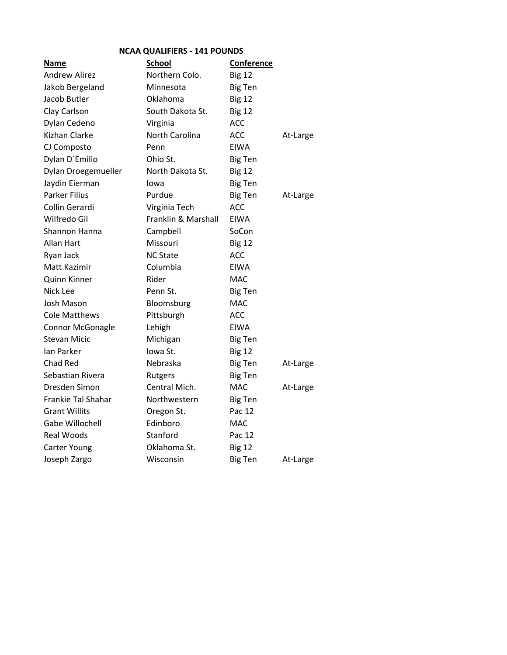| <b>NCAA QUALIFIERS - 141 POUNDS</b> |                     |                |          |
|-------------------------------------|---------------------|----------------|----------|
| Name                                | <b>School</b>       | Conference     |          |
| <b>Andrew Alirez</b>                | Northern Colo.      | <b>Big 12</b>  |          |
| Jakob Bergeland                     | Minnesota           | <b>Big Ten</b> |          |
| Jacob Butler                        | Oklahoma            | <b>Big 12</b>  |          |
| Clay Carlson                        | South Dakota St.    | <b>Big 12</b>  |          |
| Dylan Cedeno                        | Virginia            | <b>ACC</b>     |          |
| Kizhan Clarke                       | North Carolina      | <b>ACC</b>     | At-Large |
| CJ Composto                         | Penn                | EIWA           |          |
| Dylan D'Emilio                      | Ohio St.            | <b>Big Ten</b> |          |
| Dylan Droegemueller                 | North Dakota St.    | <b>Big 12</b>  |          |
| Jaydin Eierman                      | Iowa                | <b>Big Ten</b> |          |
| <b>Parker Filius</b>                | Purdue              | <b>Big Ten</b> | At-Large |
| Collin Gerardi                      | Virginia Tech       | <b>ACC</b>     |          |
| Wilfredo Gil                        | Franklin & Marshall | EIWA           |          |
| Shannon Hanna                       | Campbell            | SoCon          |          |
| Allan Hart                          | Missouri            | <b>Big 12</b>  |          |
| Ryan Jack                           | <b>NC State</b>     | <b>ACC</b>     |          |
| Matt Kazimir                        | Columbia            | <b>EIWA</b>    |          |
| Quinn Kinner                        | Rider               | MAC            |          |
| Nick Lee                            | Penn St.            | <b>Big Ten</b> |          |
| Josh Mason                          | Bloomsburg          | <b>MAC</b>     |          |
| <b>Cole Matthews</b>                | Pittsburgh          | <b>ACC</b>     |          |
| <b>Connor McGonagle</b>             | Lehigh              | <b>EIWA</b>    |          |
| <b>Stevan Micic</b>                 | Michigan            | <b>Big Ten</b> |          |
| Ian Parker                          | Iowa St.            | <b>Big 12</b>  |          |
| Chad Red                            | Nebraska            | <b>Big Ten</b> | At-Large |
| Sebastian Rivera                    | Rutgers             | <b>Big Ten</b> |          |
| Dresden Simon                       | Central Mich.       | <b>MAC</b>     | At-Large |
| <b>Frankie Tal Shahar</b>           | Northwestern        | <b>Big Ten</b> |          |
| <b>Grant Willits</b>                | Oregon St.          | Pac 12         |          |
| Gabe Willochell                     | Edinboro            | <b>MAC</b>     |          |
| Real Woods                          | Stanford            | Pac 12         |          |
| Carter Young                        | Oklahoma St.        | <b>Big 12</b>  |          |
| Joseph Zargo                        | Wisconsin           | <b>Big Ten</b> | At-Large |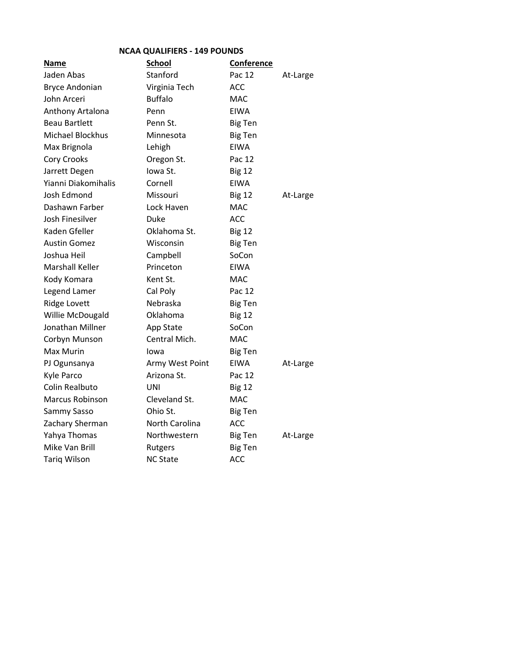| <b>NCAA QUALIFIERS - 149 POUNDS</b> |
|-------------------------------------|
|-------------------------------------|

| <b>Name</b>            | <b>School</b>   | <b>Conference</b> |          |
|------------------------|-----------------|-------------------|----------|
| Jaden Abas             | Stanford        | Pac 12            | At-Large |
| <b>Bryce Andonian</b>  | Virginia Tech   | <b>ACC</b>        |          |
| John Arceri            | <b>Buffalo</b>  | <b>MAC</b>        |          |
| Anthony Artalona       | Penn            | EIWA              |          |
| <b>Beau Bartlett</b>   | Penn St.        | <b>Big Ten</b>    |          |
| Michael Blockhus       | Minnesota       | <b>Big Ten</b>    |          |
| Max Brignola           | Lehigh          | <b>EIWA</b>       |          |
| <b>Cory Crooks</b>     | Oregon St.      | Pac 12            |          |
| Jarrett Degen          | Iowa St.        | <b>Big 12</b>     |          |
| Yianni Diakomihalis    | Cornell         | <b>EIWA</b>       |          |
| Josh Edmond            | Missouri        | <b>Big 12</b>     | At-Large |
| Dashawn Farber         | Lock Haven      | <b>MAC</b>        |          |
| Josh Finesilver        | Duke            | <b>ACC</b>        |          |
| Kaden Gfeller          | Oklahoma St.    | <b>Big 12</b>     |          |
| <b>Austin Gomez</b>    | Wisconsin       | <b>Big Ten</b>    |          |
| Joshua Heil            | Campbell        | SoCon             |          |
| <b>Marshall Keller</b> | Princeton       | <b>EIWA</b>       |          |
| Kody Komara            | Kent St.        | <b>MAC</b>        |          |
| Legend Lamer           | Cal Poly        | Pac 12            |          |
| <b>Ridge Lovett</b>    | Nebraska        | <b>Big Ten</b>    |          |
| Willie McDougald       | Oklahoma        | <b>Big 12</b>     |          |
| Jonathan Millner       | App State       | SoCon             |          |
| Corbyn Munson          | Central Mich.   | <b>MAC</b>        |          |
| Max Murin              | lowa            | <b>Big Ten</b>    |          |
| PJ Ogunsanya           | Army West Point | EIWA              | At-Large |
| Kyle Parco             | Arizona St.     | Pac 12            |          |
| Colin Realbuto         | UNI             | <b>Big 12</b>     |          |
| <b>Marcus Robinson</b> | Cleveland St.   | <b>MAC</b>        |          |
| Sammy Sasso            | Ohio St.        | <b>Big Ten</b>    |          |
| Zachary Sherman        | North Carolina  | <b>ACC</b>        |          |
| Yahya Thomas           | Northwestern    | <b>Big Ten</b>    | At-Large |
| Mike Van Brill         | Rutgers         | <b>Big Ten</b>    |          |
| <b>Tariq Wilson</b>    | <b>NC State</b> | <b>ACC</b>        |          |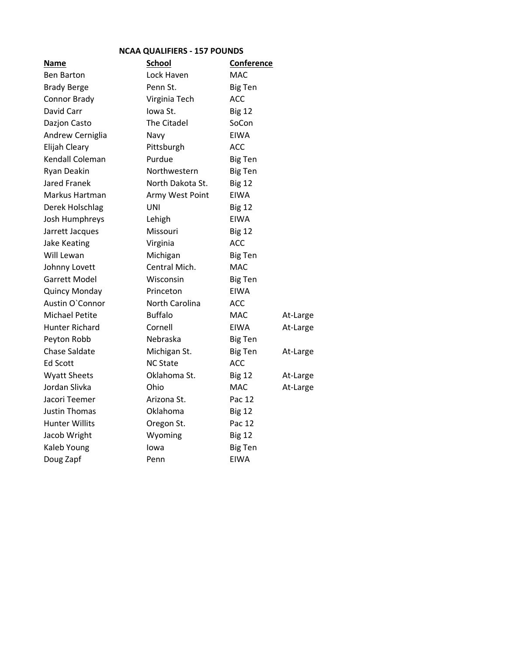## NCAA QUALIFIERS - 157 POUNDS

| Name                  | <b>School</b>    | Conference     |          |
|-----------------------|------------------|----------------|----------|
| <b>Ben Barton</b>     | Lock Haven       | <b>MAC</b>     |          |
| <b>Brady Berge</b>    | Penn St.         | <b>Big Ten</b> |          |
| Connor Brady          | Virginia Tech    | <b>ACC</b>     |          |
| David Carr            | Iowa St.         | <b>Big 12</b>  |          |
| Dazjon Casto          | The Citadel      | SoCon          |          |
| Andrew Cerniglia      | Navy             | <b>EIWA</b>    |          |
| Elijah Cleary         | Pittsburgh       | <b>ACC</b>     |          |
| Kendall Coleman       | Purdue           | <b>Big Ten</b> |          |
| Ryan Deakin           | Northwestern     | <b>Big Ten</b> |          |
| Jared Franek          | North Dakota St. | <b>Big 12</b>  |          |
| Markus Hartman        | Army West Point  | <b>EIWA</b>    |          |
| Derek Holschlag       | UNI              | <b>Big 12</b>  |          |
| Josh Humphreys        | Lehigh           | EIWA           |          |
| Jarrett Jacques       | Missouri         | <b>Big 12</b>  |          |
| Jake Keating          | Virginia         | <b>ACC</b>     |          |
| Will Lewan            | Michigan         | <b>Big Ten</b> |          |
| Johnny Lovett         | Central Mich.    | <b>MAC</b>     |          |
| Garrett Model         | Wisconsin        | <b>Big Ten</b> |          |
| Quincy Monday         | Princeton        | <b>EIWA</b>    |          |
| Austin O'Connor       | North Carolina   | <b>ACC</b>     |          |
| Michael Petite        | <b>Buffalo</b>   | <b>MAC</b>     | At-Large |
| <b>Hunter Richard</b> | Cornell          | <b>EIWA</b>    | At-Large |
| Peyton Robb           | Nebraska         | <b>Big Ten</b> |          |
| Chase Saldate         | Michigan St.     | <b>Big Ten</b> | At-Large |
| <b>Ed Scott</b>       | <b>NC State</b>  | <b>ACC</b>     |          |
| Wyatt Sheets          | Oklahoma St.     | <b>Big 12</b>  | At-Large |
| Jordan Slivka         | Ohio             | <b>MAC</b>     | At-Large |
| Jacori Teemer         | Arizona St.      | Pac 12         |          |
| Justin Thomas         | Oklahoma         | <b>Big 12</b>  |          |
| <b>Hunter Willits</b> | Oregon St.       | Pac 12         |          |
| Jacob Wright          | Wyoming          | <b>Big 12</b>  |          |
| Kaleb Young           | lowa             | <b>Big Ten</b> |          |
| Doug Zapf             | Penn             | <b>EIWA</b>    |          |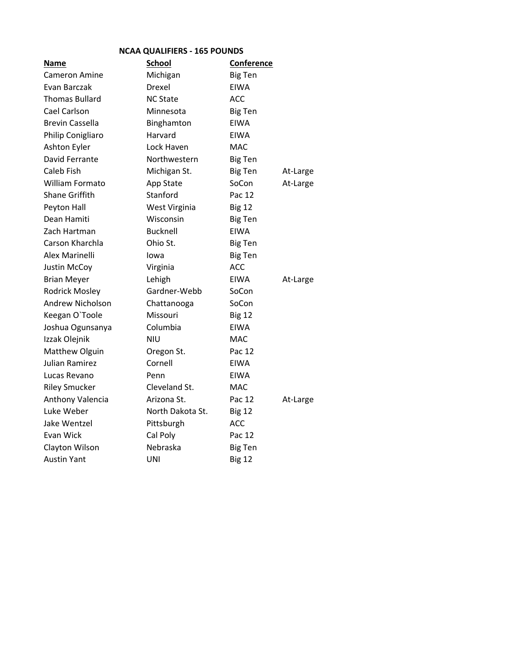| <b>NCAA QUALIFIERS - 165 POUNDS</b> |                  |                |          |
|-------------------------------------|------------------|----------------|----------|
| Name                                | <b>School</b>    | Conference     |          |
| <b>Cameron Amine</b>                | Michigan         | <b>Big Ten</b> |          |
| Evan Barczak                        | Drexel           | <b>EIWA</b>    |          |
| <b>Thomas Bullard</b>               | <b>NC State</b>  | <b>ACC</b>     |          |
| Cael Carlson                        | Minnesota        | <b>Big Ten</b> |          |
| <b>Brevin Cassella</b>              | Binghamton       | <b>EIWA</b>    |          |
| Philip Conigliaro                   | Harvard          | <b>EIWA</b>    |          |
| Ashton Eyler                        | Lock Haven       | <b>MAC</b>     |          |
| David Ferrante                      | Northwestern     | <b>Big Ten</b> |          |
| Caleb Fish                          | Michigan St.     | <b>Big Ten</b> | At-Large |
| William Formato                     | App State        | SoCon          | At-Large |
| <b>Shane Griffith</b>               | Stanford         | Pac 12         |          |
| Peyton Hall                         | West Virginia    | <b>Big 12</b>  |          |
| Dean Hamiti                         | Wisconsin        | <b>Big Ten</b> |          |
| Zach Hartman                        | <b>Bucknell</b>  | <b>EIWA</b>    |          |
| Carson Kharchla                     | Ohio St.         | <b>Big Ten</b> |          |
| Alex Marinelli                      | lowa             | <b>Big Ten</b> |          |
| Justin McCoy                        | Virginia         | <b>ACC</b>     |          |
| <b>Brian Meyer</b>                  | Lehigh           | <b>EIWA</b>    | At-Large |
| <b>Rodrick Mosley</b>               | Gardner-Webb     | SoCon          |          |
| Andrew Nicholson                    | Chattanooga      | SoCon          |          |
| Keegan O'Toole                      | Missouri         | <b>Big 12</b>  |          |
| Joshua Ogunsanya                    | Columbia         | <b>EIWA</b>    |          |
| Izzak Olejnik                       | <b>NIU</b>       | <b>MAC</b>     |          |
| Matthew Olguin                      | Oregon St.       | Pac 12         |          |
| Julian Ramirez                      | Cornell          | <b>EIWA</b>    |          |
| Lucas Revano                        | Penn             | <b>EIWA</b>    |          |
| <b>Riley Smucker</b>                | Cleveland St.    | <b>MAC</b>     |          |
| Anthony Valencia                    | Arizona St.      | Pac 12         | At-Large |
| Luke Weber                          | North Dakota St. | <b>Big 12</b>  |          |
| Jake Wentzel                        | Pittsburgh       | <b>ACC</b>     |          |
| Evan Wick                           | Cal Poly         | Pac 12         |          |
| Clayton Wilson                      | Nebraska         | <b>Big Ten</b> |          |
| <b>Austin Yant</b>                  | UNI              | <b>Big 12</b>  |          |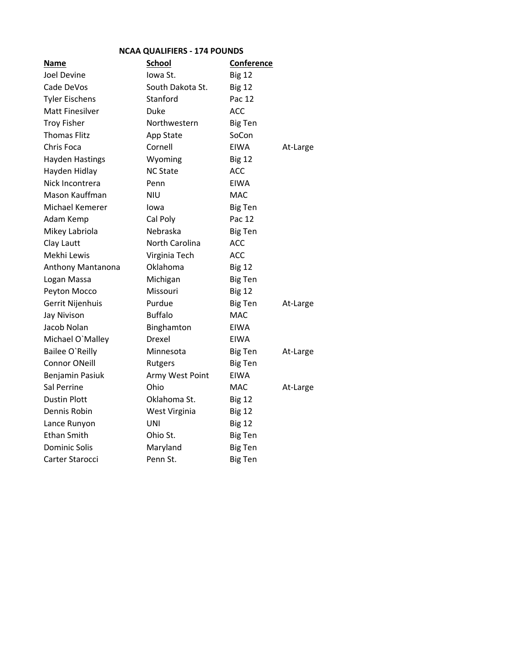| <b>NCAA QUALIFIERS - 174 POUNDS</b> |                  |                |          |
|-------------------------------------|------------------|----------------|----------|
| Name                                | <b>School</b>    | Conference     |          |
| Joel Devine                         | lowa St.         | <b>Big 12</b>  |          |
| Cade DeVos                          | South Dakota St. | <b>Big 12</b>  |          |
| <b>Tyler Eischens</b>               | Stanford         | Pac 12         |          |
| <b>Matt Finesilver</b>              | Duke             | <b>ACC</b>     |          |
| <b>Troy Fisher</b>                  | Northwestern     | <b>Big Ten</b> |          |
| <b>Thomas Flitz</b>                 | App State        | SoCon          |          |
| Chris Foca                          | Cornell          | <b>EIWA</b>    | At-Large |
| <b>Hayden Hastings</b>              | Wyoming          | <b>Big 12</b>  |          |
| Hayden Hidlay                       | <b>NC State</b>  | <b>ACC</b>     |          |
| Nick Incontrera                     | Penn             | <b>EIWA</b>    |          |
| Mason Kauffman                      | <b>NIU</b>       | <b>MAC</b>     |          |
| Michael Kemerer                     | Iowa             | <b>Big Ten</b> |          |
| Adam Kemp                           | Cal Poly         | Pac 12         |          |
| Mikey Labriola                      | Nebraska         | <b>Big Ten</b> |          |
| Clay Lautt                          | North Carolina   | <b>ACC</b>     |          |
| Mekhi Lewis                         | Virginia Tech    | <b>ACC</b>     |          |
| Anthony Mantanona                   | Oklahoma         | <b>Big 12</b>  |          |
| Logan Massa                         | Michigan         | <b>Big Ten</b> |          |
| Peyton Mocco                        | Missouri         | <b>Big 12</b>  |          |
| Gerrit Nijenhuis                    | Purdue           | <b>Big Ten</b> | At-Large |
| <b>Jay Nivison</b>                  | <b>Buffalo</b>   | MAC            |          |
| Jacob Nolan                         | Binghamton       | EIWA           |          |
| Michael O'Malley                    | Drexel           | EIWA           |          |
| Bailee O'Reilly                     | Minnesota        | <b>Big Ten</b> | At-Large |
| <b>Connor ONeill</b>                | Rutgers          | <b>Big Ten</b> |          |
| Benjamin Pasiuk                     | Army West Point  | <b>EIWA</b>    |          |
| Sal Perrine                         | Ohio             | MAC            | At-Large |
| <b>Dustin Plott</b>                 | Oklahoma St.     | <b>Big 12</b>  |          |
| Dennis Robin                        | West Virginia    | <b>Big 12</b>  |          |
| Lance Runyon                        | UNI              | <b>Big 12</b>  |          |
| <b>Ethan Smith</b>                  | Ohio St.         | <b>Big Ten</b> |          |
| <b>Dominic Solis</b>                | Maryland         | <b>Big Ten</b> |          |
| Carter Starocci                     | Penn St.         | <b>Big Ten</b> |          |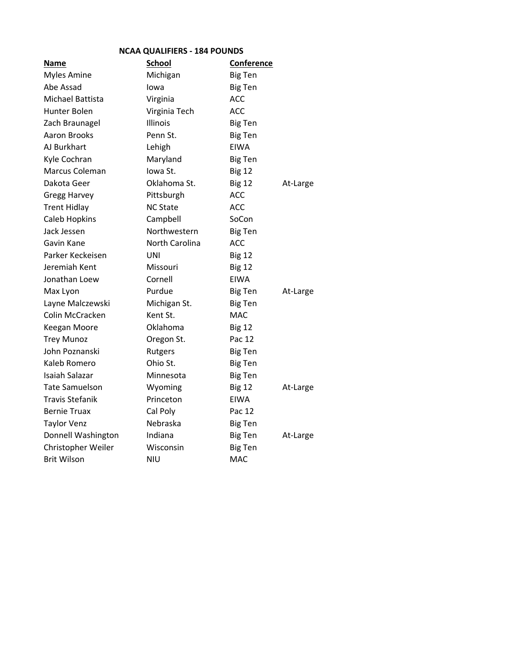|  | <b>NCAA QUALIFIERS - 184 POUNDS</b> |  |  |
|--|-------------------------------------|--|--|
|--|-------------------------------------|--|--|

| <b>Name</b>            | <b>School</b>   | <b>Conference</b> |          |
|------------------------|-----------------|-------------------|----------|
| <b>Myles Amine</b>     | Michigan        | <b>Big Ten</b>    |          |
| Abe Assad              | Iowa            | <b>Big Ten</b>    |          |
| Michael Battista       | Virginia        | <b>ACC</b>        |          |
| Hunter Bolen           | Virginia Tech   | <b>ACC</b>        |          |
| Zach Braunagel         | Illinois        | <b>Big Ten</b>    |          |
| Aaron Brooks           | Penn St.        | <b>Big Ten</b>    |          |
| AJ Burkhart            | Lehigh          | <b>EIWA</b>       |          |
| Kyle Cochran           | Maryland        | <b>Big Ten</b>    |          |
| Marcus Coleman         | Iowa St.        | <b>Big 12</b>     |          |
| Dakota Geer            | Oklahoma St.    | <b>Big 12</b>     | At-Large |
| <b>Gregg Harvey</b>    | Pittsburgh      | <b>ACC</b>        |          |
| <b>Trent Hidlay</b>    | <b>NC State</b> | <b>ACC</b>        |          |
| Caleb Hopkins          | Campbell        | SoCon             |          |
| Jack Jessen            | Northwestern    | <b>Big Ten</b>    |          |
| Gavin Kane             | North Carolina  | <b>ACC</b>        |          |
| Parker Keckeisen       | <b>UNI</b>      | <b>Big 12</b>     |          |
| Jeremiah Kent          | Missouri        | <b>Big 12</b>     |          |
| Jonathan Loew          | Cornell         | <b>EIWA</b>       |          |
| Max Lyon               | Purdue          | <b>Big Ten</b>    | At-Large |
| Layne Malczewski       | Michigan St.    | <b>Big Ten</b>    |          |
| Colin McCracken        | Kent St.        | <b>MAC</b>        |          |
| Keegan Moore           | Oklahoma        | <b>Big 12</b>     |          |
| <b>Trey Munoz</b>      | Oregon St.      | Pac 12            |          |
| John Poznanski         | Rutgers         | <b>Big Ten</b>    |          |
| Kaleb Romero           | Ohio St.        | <b>Big Ten</b>    |          |
| <b>Isaiah Salazar</b>  | Minnesota       | <b>Big Ten</b>    |          |
| <b>Tate Samuelson</b>  | Wyoming         | <b>Big 12</b>     | At-Large |
| <b>Travis Stefanik</b> | Princeton       | <b>EIWA</b>       |          |
| <b>Bernie Truax</b>    | Cal Poly        | Pac 12            |          |
| <b>Taylor Venz</b>     | Nebraska        | <b>Big Ten</b>    |          |
| Donnell Washington     | Indiana         | <b>Big Ten</b>    | At-Large |
| Christopher Weiler     | Wisconsin       | <b>Big Ten</b>    |          |
| <b>Brit Wilson</b>     | <b>NIU</b>      | <b>MAC</b>        |          |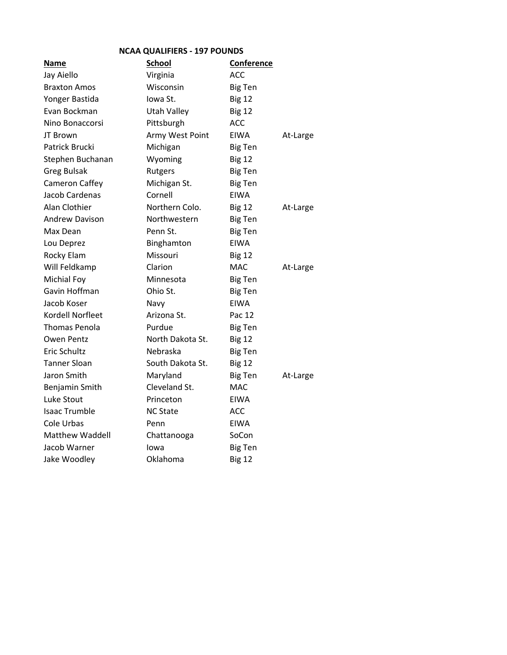| <b>NCAA QUALIFIERS - 197 POUNDS</b> |                  |                |          |
|-------------------------------------|------------------|----------------|----------|
| Name                                | <b>School</b>    | Conference     |          |
| Jay Aiello                          | Virginia         | ACC            |          |
| <b>Braxton Amos</b>                 | Wisconsin        | <b>Big Ten</b> |          |
| Yonger Bastida                      | Iowa St.         | <b>Big 12</b>  |          |
| Evan Bockman                        | Utah Valley      | <b>Big 12</b>  |          |
| Nino Bonaccorsi                     | Pittsburgh       | <b>ACC</b>     |          |
| JT Brown                            | Army West Point  | <b>EIWA</b>    | At-Large |
| Patrick Brucki                      | Michigan         | <b>Big Ten</b> |          |
| Stephen Buchanan                    | Wyoming          | <b>Big 12</b>  |          |
| <b>Greg Bulsak</b>                  | Rutgers          | <b>Big Ten</b> |          |
| Cameron Caffey                      | Michigan St.     | <b>Big Ten</b> |          |
| Jacob Cardenas                      | Cornell          | <b>EIWA</b>    |          |
| Alan Clothier                       | Northern Colo.   | <b>Big 12</b>  | At-Large |
| <b>Andrew Davison</b>               | Northwestern     | <b>Big Ten</b> |          |
| Max Dean                            | Penn St.         | <b>Big Ten</b> |          |
| Lou Deprez                          | Binghamton       | <b>EIWA</b>    |          |
| Rocky Elam                          | Missouri         | <b>Big 12</b>  |          |
| Will Feldkamp                       | Clarion          | <b>MAC</b>     | At-Large |
| Michial Foy                         | Minnesota        | <b>Big Ten</b> |          |
| Gavin Hoffman                       | Ohio St.         | <b>Big Ten</b> |          |
| Jacob Koser                         | Navy             | <b>EIWA</b>    |          |
| Kordell Norfleet                    | Arizona St.      | Pac 12         |          |
| Thomas Penola                       | Purdue           | <b>Big Ten</b> |          |
| Owen Pentz                          | North Dakota St. | <b>Big 12</b>  |          |
| Eric Schultz                        | Nebraska         | <b>Big Ten</b> |          |
| <b>Tanner Sloan</b>                 | South Dakota St. | <b>Big 12</b>  |          |
| Jaron Smith                         | Maryland         | <b>Big Ten</b> | At-Large |
| Benjamin Smith                      | Cleveland St.    | <b>MAC</b>     |          |
| Luke Stout                          | Princeton        | <b>EIWA</b>    |          |
| <b>Isaac Trumble</b>                | <b>NC State</b>  | <b>ACC</b>     |          |
| Cole Urbas                          | Penn             | <b>EIWA</b>    |          |
| Matthew Waddell                     | Chattanooga      | SoCon          |          |
| Jacob Warner                        | Iowa             | <b>Big Ten</b> |          |
| Jake Woodley                        | Oklahoma         | <b>Big 12</b>  |          |